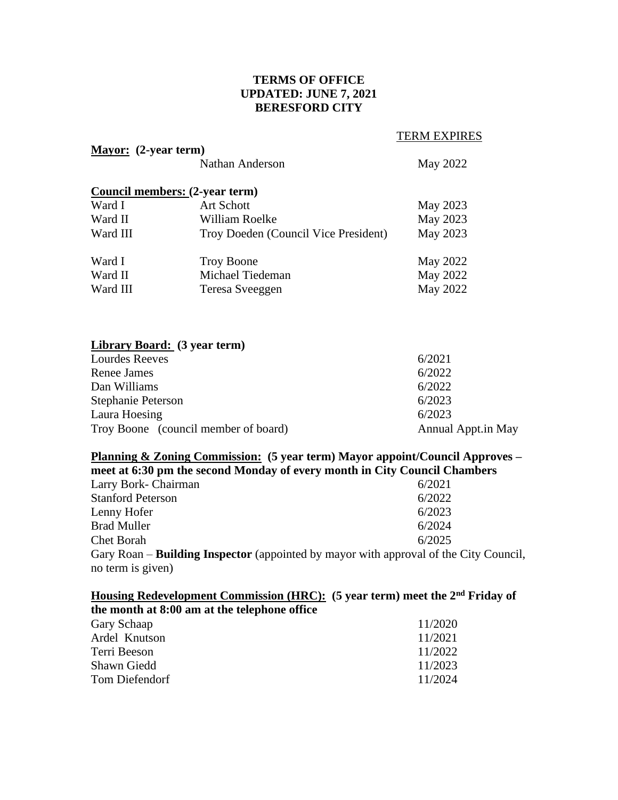# **TERMS OF OFFICE UPDATED: JUNE 7, 2021 BERESFORD CITY**

TERM EXPIRES

Council,

| <b>Mayor:</b> (2-year term) |                                       |                    |  |  |  |
|-----------------------------|---------------------------------------|--------------------|--|--|--|
|                             | Nathan Anderson                       | May 2022           |  |  |  |
|                             | <b>Council members: (2-year term)</b> |                    |  |  |  |
| Ward I                      | <b>Art Schott</b>                     | May 2023           |  |  |  |
| Ward II                     | William Roelke                        | May 2023           |  |  |  |
| Ward III                    | May 2023                              |                    |  |  |  |
| Ward I                      | <b>Troy Boone</b>                     | May 2022           |  |  |  |
| Ward II                     | Michael Tiedeman                      | May 2022           |  |  |  |
| Ward III                    | Teresa Sveeggen                       | May 2022           |  |  |  |
|                             | <b>Library Board:</b> (3 year term)   |                    |  |  |  |
| <b>Lourdes Reeves</b>       | 6/2021                                |                    |  |  |  |
| Renee James                 | 6/2022                                |                    |  |  |  |
| Dan Williams                | 6/2022                                |                    |  |  |  |
| Stephanie Peterson          | 6/2023                                |                    |  |  |  |
| Laura Hoesing               | 6/2023                                |                    |  |  |  |
|                             | Troy Boone (council member of board)  | Annual Appt.in May |  |  |  |

### **Planning & Zoning Commission: (5 year term) Mayor appoint/Council Approves – meet at 6:30 pm the second Monday of every month in City Council Chambers**

| Larry Bork- Chairman                                                                |  | 6/2021 |
|-------------------------------------------------------------------------------------|--|--------|
| <b>Stanford Peterson</b>                                                            |  | 6/2022 |
| Lenny Hofer                                                                         |  | 6/2023 |
| <b>Brad Muller</b>                                                                  |  | 6/2024 |
| Chet Borah                                                                          |  | 6/2025 |
| Gary Roan – <b>Building Inspector</b> (appointed by mayor with approval of the City |  |        |
| no term is given)                                                                   |  |        |

**Housing Redevelopment Commission (HRC): (5 year term) meet the 2nd Friday of** 

| 11/2020 |
|---------|
| 11/2021 |
| 11/2022 |
| 11/2023 |
| 11/2024 |
|         |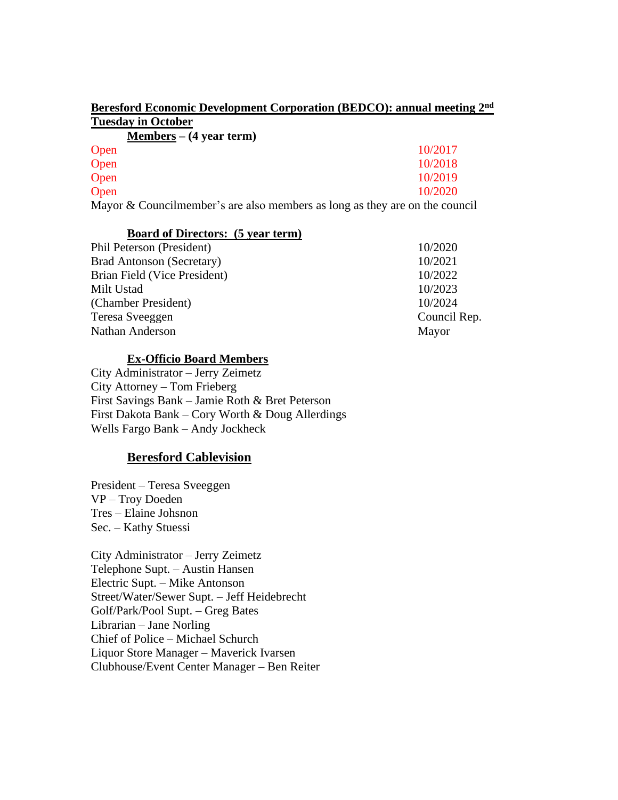| Beresford Economic Development Corporation (BEDCO): annual meeting 2 <sup>nd</sup> |  |  |  |
|------------------------------------------------------------------------------------|--|--|--|
| <b>Tuesday in October</b>                                                          |  |  |  |

|      | <u>Members</u> – $(4 \text{ year term})$ |  |  |  |         |
|------|------------------------------------------|--|--|--|---------|
| Open |                                          |  |  |  | 10/2017 |
| Open |                                          |  |  |  | 10/2018 |
| Open |                                          |  |  |  | 10/2019 |
| Open |                                          |  |  |  | 10/2020 |
|      |                                          |  |  |  |         |

Mayor & Councilmember's are also members as long as they are on the council

## **Board of Directors: (5 year term)**

| Phil Peterson (President)        | 10/2020      |
|----------------------------------|--------------|
| <b>Brad Antonson (Secretary)</b> | 10/2021      |
| Brian Field (Vice President)     | 10/2022      |
| Milt Ustad                       | 10/2023      |
| (Chamber President)              | 10/2024      |
| Teresa Sveeggen                  | Council Rep. |
| Nathan Anderson                  | Mayor        |
|                                  |              |

## **Ex-Officio Board Members**

City Administrator – Jerry Zeimetz City Attorney – Tom Frieberg First Savings Bank – Jamie Roth & Bret Peterson First Dakota Bank – Cory Worth & Doug Allerdings Wells Fargo Bank – Andy Jockheck

# **Beresford Cablevision**

President – Teresa Sveeggen VP – Troy Doeden Tres – Elaine Johsnon Sec. – Kathy Stuessi

City Administrator – Jerry Zeimetz Telephone Supt. – Austin Hansen Electric Supt. – Mike Antonson Street/Water/Sewer Supt. – Jeff Heidebrecht Golf/Park/Pool Supt. – Greg Bates Librarian – Jane Norling Chief of Police – Michael Schurch Liquor Store Manager – Maverick Ivarsen Clubhouse/Event Center Manager – Ben Reiter